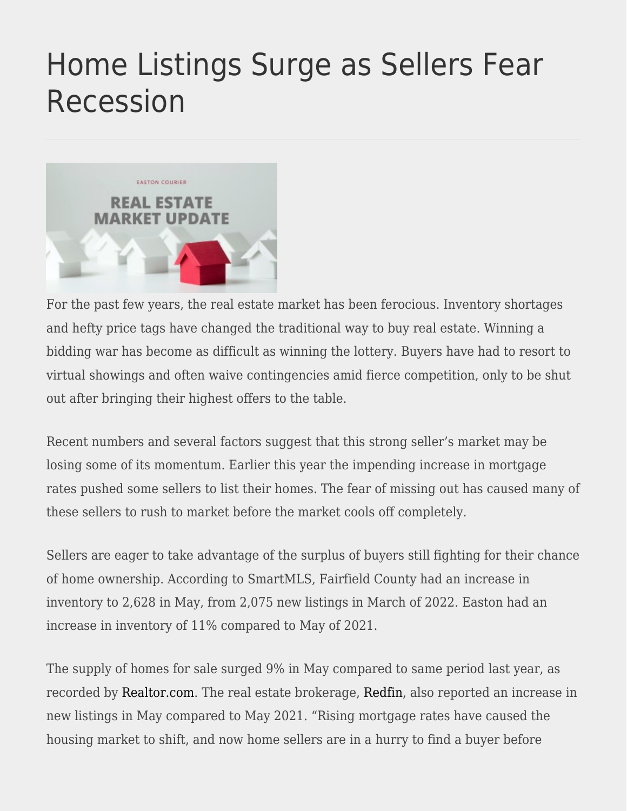## [Home Listings Surge as Sellers Fear](https://eastoncourier.news/2022/06/16/home-listings-surge-as-sellers-fear-recession/) [Recession](https://eastoncourier.news/2022/06/16/home-listings-surge-as-sellers-fear-recession/)



For the past few years, the real estate market has been ferocious. Inventory shortages and hefty price tags have changed the traditional way to buy real estate. Winning a bidding war has become as difficult as winning the lottery. Buyers have had to resort to virtual showings and often waive contingencies amid fierce competition, only to be shut out after bringing their highest offers to the table.

Recent numbers and several factors suggest that this strong seller's market may be losing some of its momentum. Earlier this year the impending increase in mortgage rates pushed some sellers to list their homes. The fear of missing out has caused many of these sellers to rush to market before the market cools off completely.

Sellers are eager to take advantage of the surplus of buyers still fighting for their chance of home ownership. According to SmartMLS, Fairfield County had an increase in inventory to 2,628 in May, from 2,075 new listings in March of 2022. Easton had an increase in inventory of 11% compared to May of 2021.

The supply of homes for sale surged 9% in May compared to same period last year, as recorded by [Realtor.com.](https://www.realtor.com/research/) The real estate brokerage, [Redfin](https://www.redfin.com/news/housing-market-update-sellers-rush-to-find-buyers/), also reported an increase in new listings in May compared to May 2021. "Rising mortgage rates have caused the housing market to shift, and now home sellers are in a hurry to find a buyer before